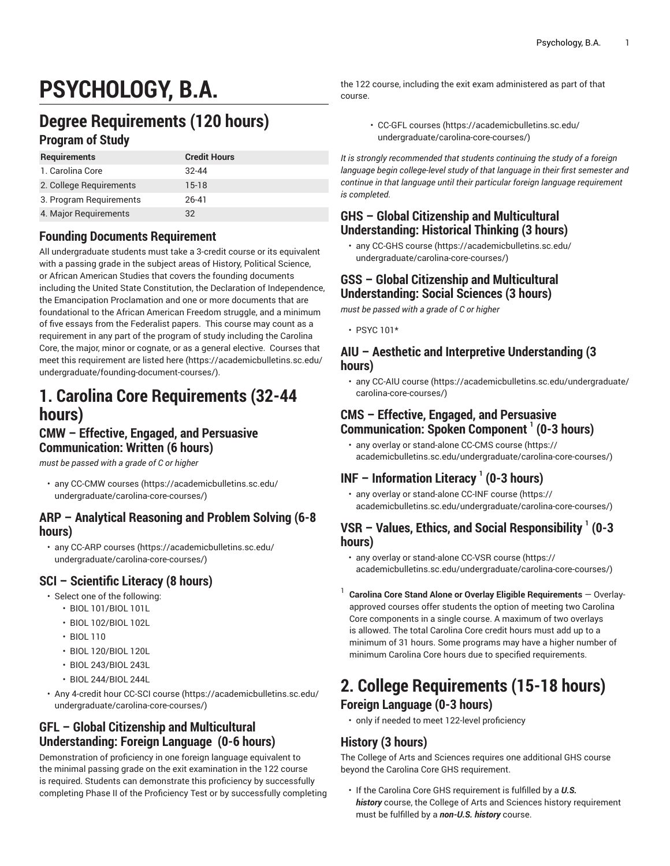# **PSYCHOLOGY, B.A.**

# **Degree Requirements (120 hours)**

### **Program of Study**

| <b>Requirements</b>     | <b>Credit Hours</b> |
|-------------------------|---------------------|
| 1. Carolina Core        | $32 - 44$           |
| 2. College Requirements | $15-18$             |
| 3. Program Reguirements | 26-41               |
| 4. Major Requirements   | 32                  |

### **Founding Documents Requirement**

All undergraduate students must take a 3-credit course or its equivalent with a passing grade in the subject areas of History, Political Science, or African American Studies that covers the founding documents including the United State Constitution, the Declaration of Independence, the Emancipation Proclamation and one or more documents that are foundational to the African American Freedom struggle, and a minimum of five essays from the Federalist papers. This course may count as a requirement in any part of the program of study including the Carolina Core, the major, minor or cognate, or as a general elective. Courses that meet this requirement are listed [here \(https://academicbulletins.sc.edu/](https://academicbulletins.sc.edu/undergraduate/founding-document-courses/) [undergraduate/founding-document-courses/\)](https://academicbulletins.sc.edu/undergraduate/founding-document-courses/).

# **1. Carolina Core Requirements (32-44 hours)**

### **CMW – Effective, Engaged, and Persuasive Communication: Written (6 hours)**

*must be passed with a grade of C or higher*

• any [CC-CMW courses](https://academicbulletins.sc.edu/undergraduate/carolina-core-courses/) ([https://academicbulletins.sc.edu/](https://academicbulletins.sc.edu/undergraduate/carolina-core-courses/) [undergraduate/carolina-core-courses/\)](https://academicbulletins.sc.edu/undergraduate/carolina-core-courses/)

### **ARP – Analytical Reasoning and Problem Solving (6-8 hours)**

• any [CC-ARP courses](https://academicbulletins.sc.edu/undergraduate/carolina-core-courses/) [\(https://academicbulletins.sc.edu/](https://academicbulletins.sc.edu/undergraduate/carolina-core-courses/) [undergraduate/carolina-core-courses/\)](https://academicbulletins.sc.edu/undergraduate/carolina-core-courses/)

### **SCI – Scientific Literacy (8 hours)**

- Select one of the following:
	- BIOL 101/BIOL 101L
	- BIOL 102/BIOL 102L
	- BIOL 110
	- BIOL 120/BIOL 120L
	- BIOL 243/BIOL 243L
	- BIOL 244/BIOL 244L
- Any 4-credit hour [CC-SCI course](https://academicbulletins.sc.edu/undergraduate/carolina-core-courses/) ([https://academicbulletins.sc.edu/](https://academicbulletins.sc.edu/undergraduate/carolina-core-courses/) [undergraduate/carolina-core-courses/\)](https://academicbulletins.sc.edu/undergraduate/carolina-core-courses/)

### **GFL – Global Citizenship and Multicultural Understanding: Foreign Language (0-6 hours)**

Demonstration of proficiency in one foreign language equivalent to the minimal passing grade on the exit examination in the 122 course is required. Students can demonstrate this proficiency by successfully completing Phase II of the Proficiency Test or by successfully completing

the 122 course, including the exit exam administered as part of that course.

• [CC-GFL courses \(https://academicbulletins.sc.edu/](https://academicbulletins.sc.edu/undergraduate/carolina-core-courses/) [undergraduate/carolina-core-courses/](https://academicbulletins.sc.edu/undergraduate/carolina-core-courses/))

*It is strongly recommended that students continuing the study of a foreign language begin college-level study of that language in their first semester and continue in that language until their particular foreign language requirement is completed.*

### **GHS – Global Citizenship and Multicultural Understanding: Historical Thinking (3 hours)**

• any [CC-GHS course](https://academicbulletins.sc.edu/undergraduate/carolina-core-courses/) ([https://academicbulletins.sc.edu/](https://academicbulletins.sc.edu/undergraduate/carolina-core-courses/) [undergraduate/carolina-core-courses/](https://academicbulletins.sc.edu/undergraduate/carolina-core-courses/))

### **GSS – Global Citizenship and Multicultural Understanding: Social Sciences (3 hours)**

*must be passed with a grade of C or higher*

• PSYC 101\*

### **AIU – Aesthetic and Interpretive Understanding (3 hours)**

• any [CC-AIU course](https://academicbulletins.sc.edu/undergraduate/carolina-core-courses/) ([https://academicbulletins.sc.edu/undergraduate/](https://academicbulletins.sc.edu/undergraduate/carolina-core-courses/) [carolina-core-courses/](https://academicbulletins.sc.edu/undergraduate/carolina-core-courses/))

### **CMS – Effective, Engaged, and Persuasive Communication: Spoken Component 1 (0-3 hours)**

• any overlay or stand-alone [CC-CMS course](https://academicbulletins.sc.edu/undergraduate/carolina-core-courses/) [\(https://](https://academicbulletins.sc.edu/undergraduate/carolina-core-courses/) [academicbulletins.sc.edu/undergraduate/carolina-core-courses/](https://academicbulletins.sc.edu/undergraduate/carolina-core-courses/))

## **INF – Information Literacy <sup>1</sup> (0-3 hours)**

• any overlay or stand-alone [CC-INF course](https://academicbulletins.sc.edu/undergraduate/carolina-core-courses/) ([https://](https://academicbulletins.sc.edu/undergraduate/carolina-core-courses/) [academicbulletins.sc.edu/undergraduate/carolina-core-courses/](https://academicbulletins.sc.edu/undergraduate/carolina-core-courses/))

### **VSR – Values, Ethics, and Social Responsibility 1 (0-3 hours)**

- any overlay or stand-alone [CC-VSR course \(https://](https://academicbulletins.sc.edu/undergraduate/carolina-core-courses/) [academicbulletins.sc.edu/undergraduate/carolina-core-courses/](https://academicbulletins.sc.edu/undergraduate/carolina-core-courses/))
- 1 **Carolina Core Stand Alone or Overlay Eligible Requirements** — Overlayapproved courses offer students the option of meeting two Carolina Core components in a single course. A maximum of two overlays is allowed. The total Carolina Core credit hours must add up to a minimum of 31 hours. Some programs may have a higher number of minimum Carolina Core hours due to specified requirements.

# **2. College Requirements (15-18 hours)**

### **Foreign Language (0-3 hours)**

• only if needed to meet 122-level proficiency

## **History (3 hours)**

The College of Arts and Sciences requires one additional GHS course beyond the Carolina Core GHS requirement.

• If the Carolina Core GHS requirement is fulfilled by a *U.S. history* course, the College of Arts and Sciences history requirement must be fulfilled by a *non-U.S. history* course.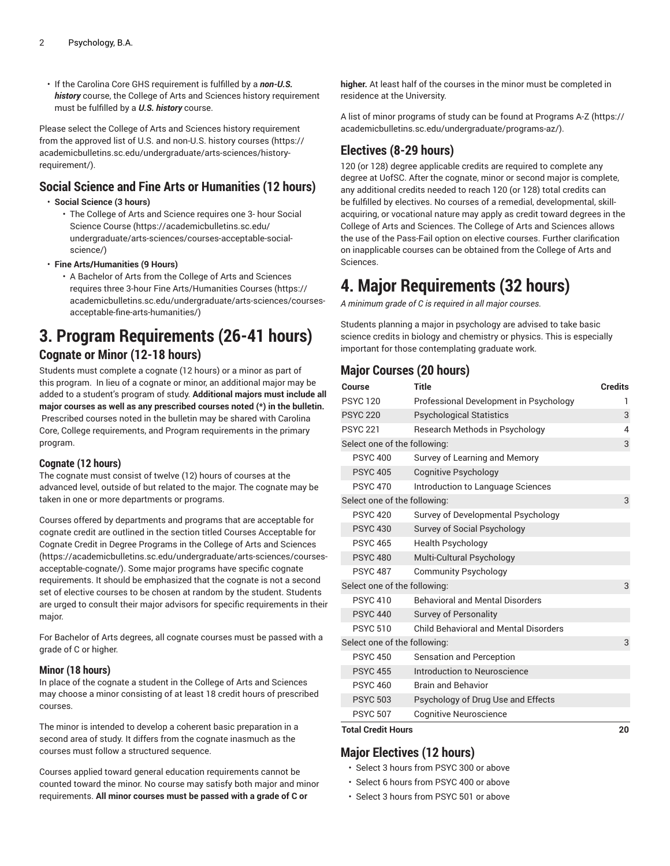• If the Carolina Core GHS requirement is fulfilled by a *non-U.S. history* course, the College of Arts and Sciences history requirement must be fulfilled by a *U.S. history* course.

Please select the College of Arts and Sciences history requirement from the approved list of U.S. and [non-U.S.](https://academicbulletins.sc.edu/undergraduate/arts-sciences/history-requirement/) history courses ([https://](https://academicbulletins.sc.edu/undergraduate/arts-sciences/history-requirement/) [academicbulletins.sc.edu/undergraduate/arts-sciences/history](https://academicbulletins.sc.edu/undergraduate/arts-sciences/history-requirement/)[requirement/\)](https://academicbulletins.sc.edu/undergraduate/arts-sciences/history-requirement/).

### **Social Science and Fine Arts or Humanities (12 hours)**

#### • **Social Science (3 hours)**

- The College of Arts and Science requires one 3- hour [Social](https://academicbulletins.sc.edu/undergraduate/arts-sciences/courses-acceptable-social-science/) [Science Course \(https://academicbulletins.sc.edu/](https://academicbulletins.sc.edu/undergraduate/arts-sciences/courses-acceptable-social-science/) [undergraduate/arts-sciences/courses-acceptable-social](https://academicbulletins.sc.edu/undergraduate/arts-sciences/courses-acceptable-social-science/)[science/\)](https://academicbulletins.sc.edu/undergraduate/arts-sciences/courses-acceptable-social-science/)
- **Fine Arts/Humanities (9 Hours)**
	- A Bachelor of Arts from the College of Arts and Sciences requires three 3-hour Fine [Arts/Humanities](https://academicbulletins.sc.edu/undergraduate/arts-sciences/courses-acceptable-fine-arts-humanities/) Courses ([https://](https://academicbulletins.sc.edu/undergraduate/arts-sciences/courses-acceptable-fine-arts-humanities/) [academicbulletins.sc.edu/undergraduate/arts-sciences/courses](https://academicbulletins.sc.edu/undergraduate/arts-sciences/courses-acceptable-fine-arts-humanities/)[acceptable-fine-arts-humanities/\)](https://academicbulletins.sc.edu/undergraduate/arts-sciences/courses-acceptable-fine-arts-humanities/)

# **3. Program Requirements (26-41 hours)**

## **Cognate or Minor (12-18 hours)**

Students must complete a cognate (12 hours) or a minor as part of this program. In lieu of a cognate or minor, an additional major may be added to a student's program of study. **Additional majors must include all major courses as well as any prescribed courses noted (\*) in the bulletin.** Prescribed courses noted in the bulletin may be shared with Carolina Core, College requirements, and Program requirements in the primary program.

#### **Cognate (12 hours)**

The cognate must consist of twelve (12) hours of courses at the advanced level, outside of but related to the major. The cognate may be taken in one or more departments or programs.

Courses offered by departments and programs that are acceptable for cognate credit are outlined in the section titled [Courses Acceptable for](https://academicbulletins.sc.edu/undergraduate/arts-sciences/courses-acceptable-cognate/) Cognate Credit in Degree [Programs](https://academicbulletins.sc.edu/undergraduate/arts-sciences/courses-acceptable-cognate/) in the College of Arts and Sciences ([https://academicbulletins.sc.edu/undergraduate/arts-sciences/courses](https://academicbulletins.sc.edu/undergraduate/arts-sciences/courses-acceptable-cognate/)[acceptable-cognate/](https://academicbulletins.sc.edu/undergraduate/arts-sciences/courses-acceptable-cognate/)). Some major programs have specific cognate requirements. It should be emphasized that the cognate is not a second set of elective courses to be chosen at random by the student. Students are urged to consult their major advisors for specific requirements in their major.

For Bachelor of Arts degrees, all cognate courses must be passed with a grade of C or higher.

#### **Minor (18 hours)**

In place of the cognate a student in the College of Arts and Sciences may choose a minor consisting of at least 18 credit hours of prescribed courses.

The minor is intended to develop a coherent basic preparation in a second area of study. It differs from the cognate inasmuch as the courses must follow a structured sequence.

Courses applied toward general education requirements cannot be counted toward the minor. No course may satisfy both major and minor requirements. **All minor courses must be passed with a grade of C or**

**higher.** At least half of the courses in the minor must be completed in residence at the University.

A list of minor programs of study can be found at [Programs](https://academicbulletins.sc.edu/undergraduate/programs-az/) A-Z [\(https://](https://academicbulletins.sc.edu/undergraduate/programs-az/) [academicbulletins.sc.edu/undergraduate/programs-az/](https://academicbulletins.sc.edu/undergraduate/programs-az/)).

## **Electives (8-29 hours)**

120 (or 128) degree applicable credits are required to complete any degree at UofSC. After the cognate, minor or second major is complete, any additional credits needed to reach 120 (or 128) total credits can be fulfilled by electives. No courses of a remedial, developmental, skillacquiring, or vocational nature may apply as credit toward degrees in the College of Arts and Sciences. The College of Arts and Sciences allows the use of the Pass-Fail option on elective courses. Further clarification on inapplicable courses can be obtained from the College of Arts and Sciences.

# **4. Major Requirements (32 hours)**

*A minimum grade of C is required in all major courses.*

Students planning a major in psychology are advised to take basic science credits in biology and chemistry or physics. This is especially important for those contemplating graduate work.

### **Major Courses (20 hours)**

| Course                       | <b>Title</b>                                 | <b>Credits</b> |
|------------------------------|----------------------------------------------|----------------|
| <b>PSYC120</b>               | Professional Development in Psychology       | 1              |
| <b>PSYC 220</b>              | <b>Psychological Statistics</b>              | 3              |
| <b>PSYC 221</b>              | Research Methods in Psychology               | $\overline{4}$ |
| Select one of the following: |                                              | 3              |
| <b>PSYC 400</b>              | Survey of Learning and Memory                |                |
| <b>PSYC 405</b>              | Cognitive Psychology                         |                |
| <b>PSYC 470</b>              | Introduction to Language Sciences            |                |
| Select one of the following: |                                              | 3              |
| <b>PSYC 420</b>              | Survey of Developmental Psychology           |                |
| <b>PSYC 430</b>              | Survey of Social Psychology                  |                |
| <b>PSYC 465</b>              | <b>Health Psychology</b>                     |                |
| <b>PSYC 480</b>              | Multi-Cultural Psychology                    |                |
| <b>PSYC 487</b>              | <b>Community Psychology</b>                  |                |
| Select one of the following: |                                              | 3              |
| <b>PSYC 410</b>              | <b>Behavioral and Mental Disorders</b>       |                |
| <b>PSYC 440</b>              | <b>Survey of Personality</b>                 |                |
| <b>PSYC 510</b>              | <b>Child Behavioral and Mental Disorders</b> |                |
| Select one of the following: |                                              | 3              |
| <b>PSYC 450</b>              | <b>Sensation and Perception</b>              |                |
| <b>PSYC 455</b>              | Introduction to Neuroscience                 |                |
| <b>PSYC 460</b>              | <b>Brain and Behavior</b>                    |                |
| <b>PSYC 503</b>              | Psychology of Drug Use and Effects           |                |
| <b>PSYC 507</b>              | <b>Cognitive Neuroscience</b>                |                |

**Total Credit Hours 20**

### **Major Electives (12 hours)**

- Select 3 hours from PSYC 300 or above
- Select 6 hours from PSYC 400 or above
- Select 3 hours from PSYC 501 or above